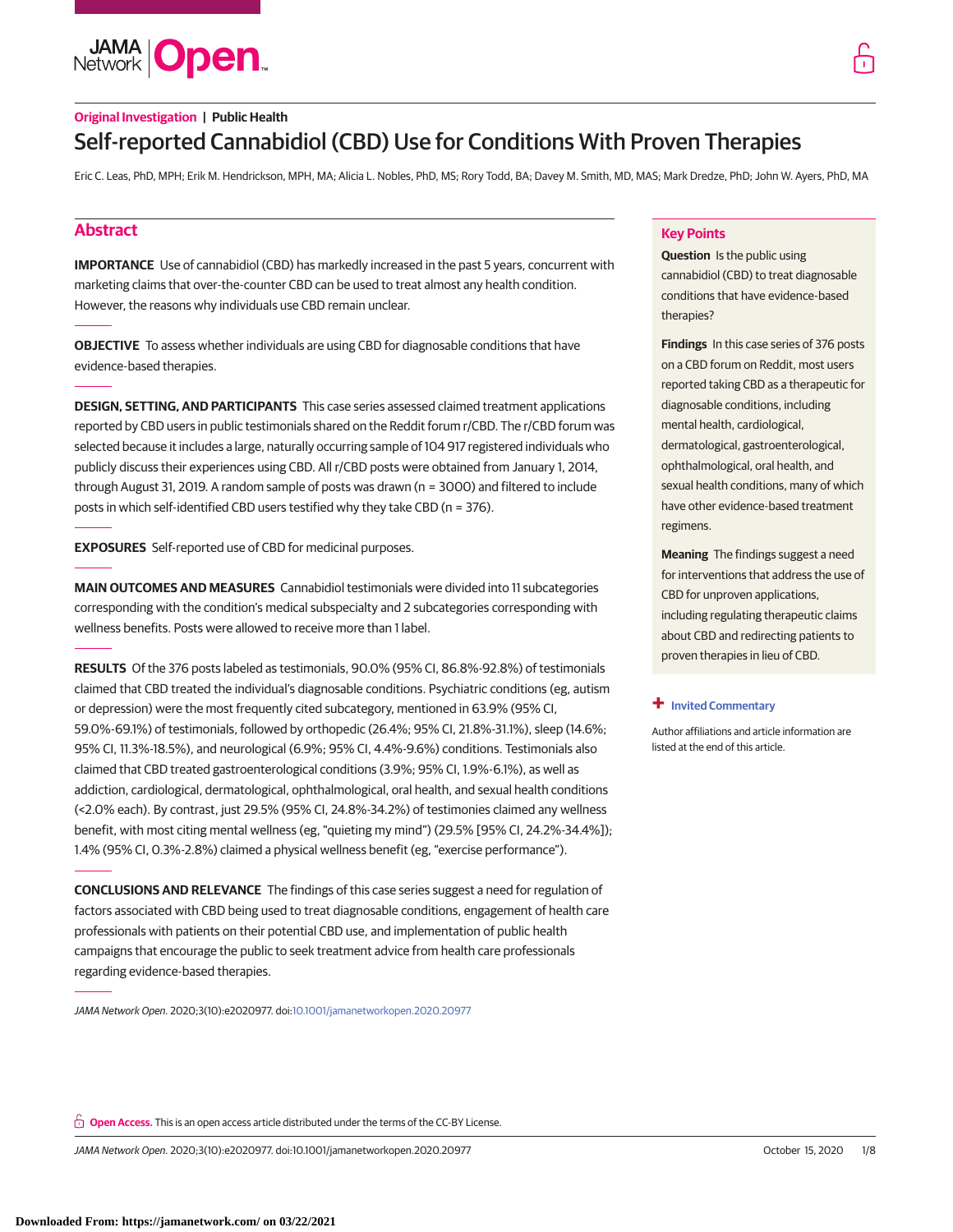**JAMA Open** 

# **Original Investigation | Public Health** Self-reported Cannabidiol (CBD) Use for Conditions With Proven Therapies

Eric C. Leas, PhD, MPH; Erik M. Hendrickson, MPH, MA; Alicia L. Nobles, PhD, MS; Rory Todd, BA; Davey M. Smith, MD, MAS; Mark Dredze, PhD; John W. Ayers, PhD, MA

# **Abstract**

**IMPORTANCE** Use of cannabidiol (CBD) has markedly increased in the past 5 years, concurrent with marketing claims that over-the-counter CBD can be used to treat almost any health condition. However, the reasons why individuals use CBD remain unclear.

**OBJECTIVE** To assess whether individuals are using CBD for diagnosable conditions that have evidence-based therapies.

**DESIGN, SETTING, AND PARTICIPANTS** This case series assessed claimed treatment applications reported by CBD users in public testimonials shared on the Reddit forum r/CBD. The r/CBD forum was selected because it includes a large, naturally occurring sample of 104 917 registered individuals who publicly discuss their experiences using CBD. All r/CBD posts were obtained from January 1, 2014, through August 31, 2019. A random sample of posts was drawn (n = 3000) and filtered to include posts in which self-identified CBD users testified why they take CBD (n = 376).

**EXPOSURES** Self-reported use of CBD for medicinal purposes.

**MAIN OUTCOMES AND MEASURES** Cannabidiol testimonials were divided into 11 subcategories corresponding with the condition's medical subspecialty and 2 subcategories corresponding with wellness benefits. Posts were allowed to receive more than 1 label.

**RESULTS** Of the 376 posts labeled as testimonials, 90.0% (95% CI, 86.8%-92.8%) of testimonials claimed that CBD treated the individual's diagnosable conditions. Psychiatric conditions (eg, autism or depression) were the most frequently cited subcategory, mentioned in 63.9% (95% CI, 59.0%-69.1%) of testimonials, followed by orthopedic (26.4%; 95% CI, 21.8%-31.1%), sleep (14.6%; 95% CI, 11.3%-18.5%), and neurological (6.9%; 95% CI, 4.4%-9.6%) conditions. Testimonials also claimed that CBD treated gastroenterological conditions (3.9%; 95% CI, 1.9%-6.1%), as well as addiction, cardiological, dermatological, ophthalmological, oral health, and sexual health conditions (<2.0% each). By contrast, just 29.5% (95% CI, 24.8%-34.2%) of testimonies claimed any wellness benefit, with most citing mental wellness (eg, "quieting my mind") (29.5% [95% CI, 24.2%-34.4%]); 1.4% (95% CI, 0.3%-2.8%) claimed a physical wellness benefit (eg, "exercise performance").

**CONCLUSIONS AND RELEVANCE** The findings of this case series suggest a need for regulation of factors associated with CBD being used to treat diagnosable conditions, engagement of health care professionals with patients on their potential CBD use, and implementation of public health campaigns that encourage the public to seek treatment advice from health care professionals regarding evidence-based therapies.

JAMA Network Open. 2020;3(10):e2020977. doi[:10.1001/jamanetworkopen.2020.20977](https://jama.jamanetwork.com/article.aspx?doi=10.1001/jamanetworkopen.2020.20977&utm_campaign=articlePDF%26utm_medium=articlePDFlink%26utm_source=articlePDF%26utm_content=jamanetworkopen.2020.20977)

# **Key Points**

**Question** Is the public using cannabidiol (CBD) to treat diagnosable conditions that have evidence-based therapies?

**Findings** In this case series of 376 posts on a CBD forum on Reddit, most users reported taking CBD as a therapeutic for diagnosable conditions, including mental health, cardiological, dermatological, gastroenterological, ophthalmological, oral health, and sexual health conditions, many of which have other evidence-based treatment regimens.

**Meaning** The findings suggest a need for interventions that address the use of CBD for unproven applications, including regulating therapeutic claims about CBD and redirecting patients to proven therapies in lieu of CBD.

### **+ [Invited Commentary](https://jama.jamanetwork.com/article.aspx?doi=10.1001/jamanetworkopen.2020.21067&utm_campaign=articlePDF%26utm_medium=articlePDFlink%26utm_source=articlePDF%26utm_content=jamanetworkopen.2020.20977)**

Author affiliations and article information are listed at the end of this article.

**Open Access.** This is an open access article distributed under the terms of the CC-BY License.

JAMA Network Open. 2020;3(10):e2020977. doi:10.1001/jamanetworkopen.2020.20977 (Reprinted) October 15, 2020 1/8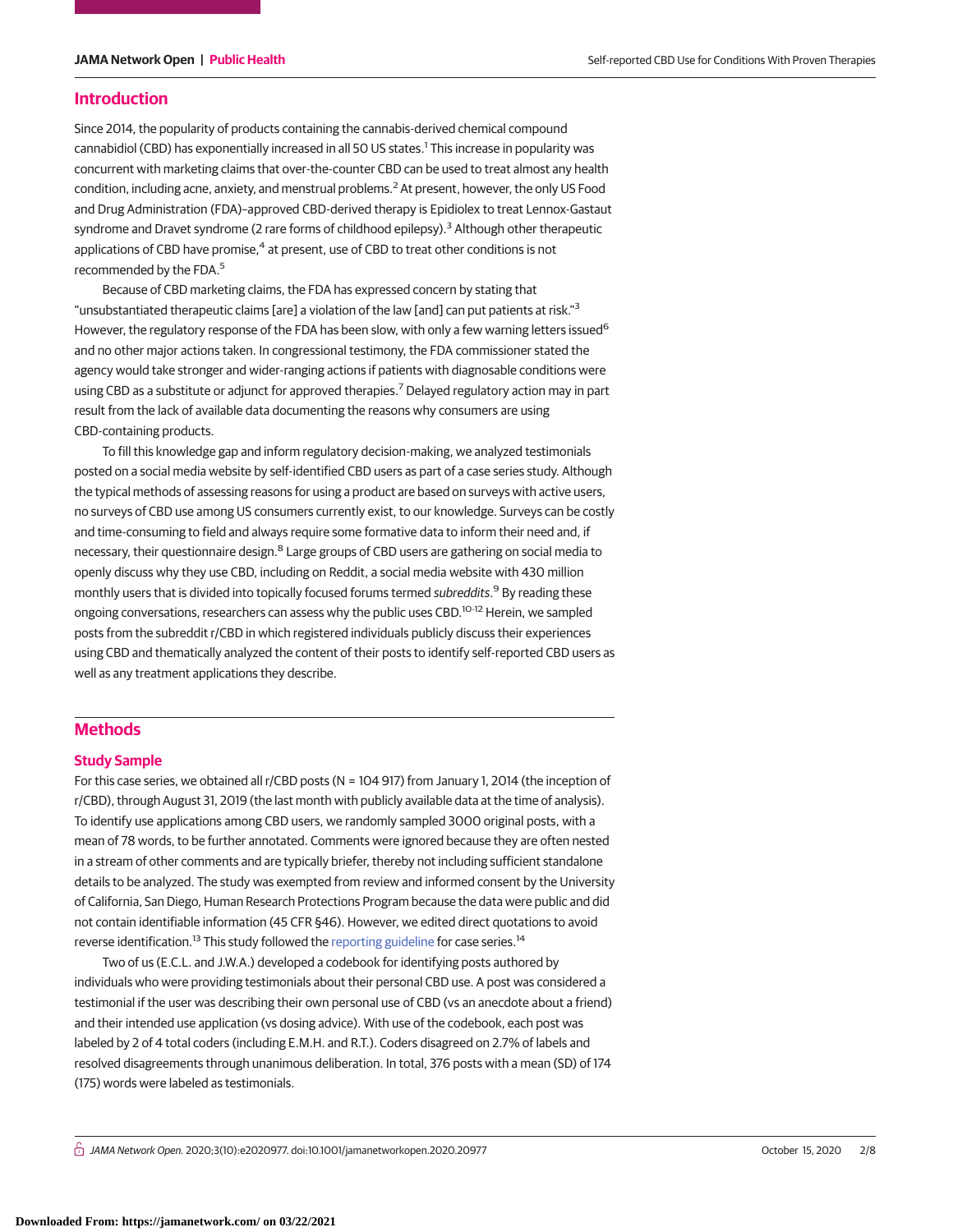### **Introduction**

Since 2014, the popularity of products containing the cannabis-derived chemical compound cannabidiol (CBD) has exponentially increased in all 50 US states.<sup>1</sup> This increase in popularity was concurrent with marketing claims that over-the-counter CBD can be used to treat almost any health condition, including acne, anxiety, and menstrual problems.<sup>2</sup> At present, however, the only US Food and Drug Administration (FDA)–approved CBD-derived therapy is Epidiolex to treat Lennox-Gastaut syndrome and Dravet syndrome (2 rare forms of childhood epilepsy).<sup>3</sup> Although other therapeutic applications of CBD have promise,<sup>4</sup> at present, use of CBD to treat other conditions is not recommended by the FDA.<sup>5</sup>

Because of CBD marketing claims, the FDA has expressed concern by stating that "unsubstantiated therapeutic claims [are] a violation of the law [and] can put patients at risk."<sup>3</sup> However, the regulatory response of the FDA has been slow, with only a few warning letters issued<sup>6</sup> and no other major actions taken. In congressional testimony, the FDA commissioner stated the agency would take stronger and wider-ranging actions if patients with diagnosable conditions were using CBD as a substitute or adjunct for approved therapies.<sup>7</sup> Delayed regulatory action may in part result from the lack of available data documenting the reasons why consumers are using CBD-containing products.

To fill this knowledge gap and inform regulatory decision-making, we analyzed testimonials posted on a social media website by self-identified CBD users as part of a case series study. Although the typical methods of assessing reasons for using a product are based on surveys with active users, no surveys of CBD use among US consumers currently exist, to our knowledge. Surveys can be costly and time-consuming to field and always require some formative data to inform their need and, if necessary, their questionnaire design.<sup>8</sup> Large groups of CBD users are gathering on social media to openly discuss why they use CBD, including on Reddit, a social media website with 430 million monthly users that is divided into topically focused forums termed subreddits.<sup>9</sup> By reading these ongoing conversations, researchers can assess why the public uses CBD.<sup>10-12</sup> Herein, we sampled posts from the subreddit r/CBD in which registered individuals publicly discuss their experiences using CBD and thematically analyzed the content of their posts to identify self-reported CBD users as well as any treatment applications they describe.

# **Methods**

### **Study Sample**

For this case series, we obtained all r/CBD posts (N = 104 917) from January 1, 2014 (the inception of r/CBD), through August 31, 2019 (the last month with publicly available data at the time of analysis). To identify use applications among CBD users, we randomly sampled 3000 original posts, with a mean of 78 words, to be further annotated. Comments were ignored because they are often nested in a stream of other comments and are typically briefer, thereby not including sufficient standalone details to be analyzed. The study was exempted from review and informed consent by the University of California, San Diego, Human Research Protections Program because the data were public and did not contain identifiable information (45 CFR §46). However, we edited direct quotations to avoid reverse identification.<sup>13</sup> This study followed the [reporting guideline](https://www.ajo.com/article/S0002-9394(10)00690-2/fulltext) for case series.<sup>14</sup>

Two of us (E.C.L. and J.W.A.) developed a codebook for identifying posts authored by individuals who were providing testimonials about their personal CBD use. A post was considered a testimonial if the user was describing their own personal use of CBD (vs an anecdote about a friend) and their intended use application (vs dosing advice). With use of the codebook, each post was labeled by 2 of 4 total coders (including E.M.H. and R.T.). Coders disagreed on 2.7% of labels and resolved disagreements through unanimous deliberation. In total, 376 posts with a mean (SD) of 174 (175) words were labeled as testimonials.

 $\bigcap$  JAMA Network Open. 2020;3(10):e2020977. doi:10.1001/jamanetworkopen.2020.20977 (Reprinted) October 15, 2020 2/8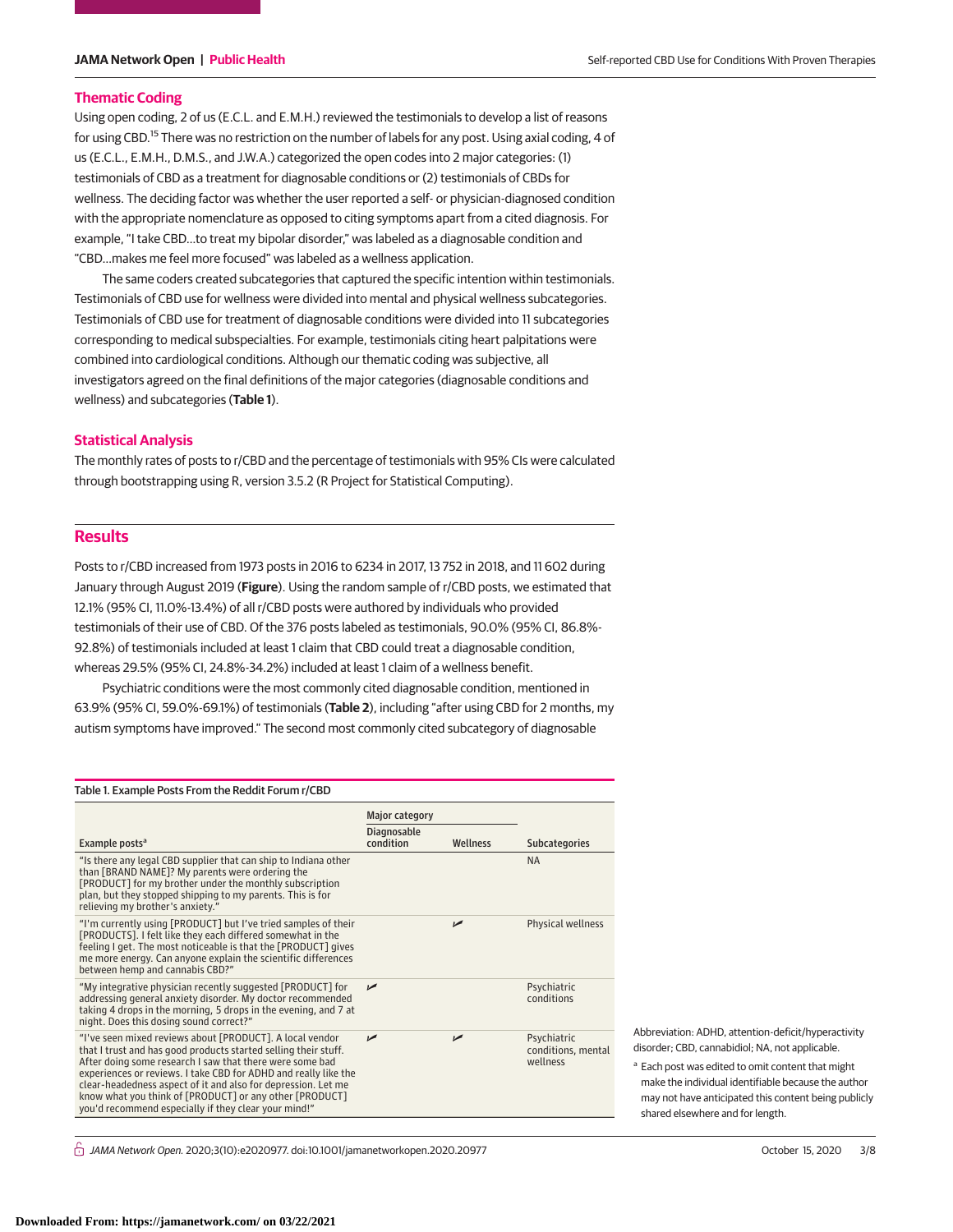### **Thematic Coding**

Using open coding, 2 of us (E.C.L. and E.M.H.) reviewed the testimonials to develop a list of reasons for using CBD.<sup>15</sup> There was no restriction on the number of labels for any post. Using axial coding, 4 of us (E.C.L., E.M.H., D.M.S., and J.W.A.) categorized the open codes into 2 major categories: (1) testimonials of CBD as a treatment for diagnosable conditions or (2) testimonials of CBDs for wellness. The deciding factor was whether the user reported a self- or physician-diagnosed condition with the appropriate nomenclature as opposed to citing symptoms apart from a cited diagnosis. For example, "I take CBD…to treat my bipolar disorder," was labeled as a diagnosable condition and "CBD…makes me feel more focused" was labeled as a wellness application.

The same coders created subcategories that captured the specific intention within testimonials. Testimonials of CBD use for wellness were divided into mental and physical wellness subcategories. Testimonials of CBD use for treatment of diagnosable conditions were divided into 11 subcategories corresponding to medical subspecialties. For example, testimonials citing heart palpitations were combined into cardiological conditions. Although our thematic coding was subjective, all investigators agreed on the final definitions of the major categories (diagnosable conditions and wellness) and subcategories (**Table 1**).

## **Statistical Analysis**

The monthly rates of posts to r/CBD and the percentage of testimonials with 95% CIs were calculated through bootstrapping using R, version 3.5.2 (R Project for Statistical Computing).

# **Results**

Posts to r/CBD increased from 1973 posts in 2016 to 6234 in 2017, 13 752 in 2018, and 11 602 during January through August 2019 (**Figure**). Using the random sample of r/CBD posts, we estimated that 12.1% (95% CI, 11.0%-13.4%) of all r/CBD posts were authored by individuals who provided testimonials of their use of CBD. Of the 376 posts labeled as testimonials, 90.0% (95% CI, 86.8%- 92.8%) of testimonials included at least 1 claim that CBD could treat a diagnosable condition, whereas 29.5% (95% CI, 24.8%-34.2%) included at least 1 claim of a wellness benefit.

Psychiatric conditions were the most commonly cited diagnosable condition, mentioned in 63.9% (95% CI, 59.0%-69.1%) of testimonials (**Table 2**), including "after using CBD for 2 months, my autism symptoms have improved." The second most commonly cited subcategory of diagnosable

| Table 1. Example Posts From the Reddit Forum r/CBD                                                                                                                                                                                                                                                                                                                                                                                             |                                      |          |                                               |  |
|------------------------------------------------------------------------------------------------------------------------------------------------------------------------------------------------------------------------------------------------------------------------------------------------------------------------------------------------------------------------------------------------------------------------------------------------|--------------------------------------|----------|-----------------------------------------------|--|
|                                                                                                                                                                                                                                                                                                                                                                                                                                                | Major category<br><b>Diagnosable</b> |          |                                               |  |
| Example posts <sup>a</sup><br>"Is there any legal CBD supplier that can ship to Indiana other                                                                                                                                                                                                                                                                                                                                                  | condition                            | Wellness | <b>Subcategories</b><br><b>NA</b>             |  |
| than [BRAND NAME]? My parents were ordering the<br>[PRODUCT] for my brother under the monthly subscription<br>plan, but they stopped shipping to my parents. This is for<br>relieving my brother's anxiety."                                                                                                                                                                                                                                   |                                      |          |                                               |  |
| "I'm currently using [PRODUCT] but I've tried samples of their<br>[PRODUCTS]. I felt like they each differed somewhat in the<br>feeling I get. The most noticeable is that the [PRODUCT] gives<br>me more energy. Can anyone explain the scientific differences<br>between hemp and cannabis CBD?"                                                                                                                                             |                                      | مما      | Physical wellness                             |  |
| "My integrative physician recently suggested [PRODUCT] for<br>addressing general anxiety disorder. My doctor recommended<br>taking 4 drops in the morning, 5 drops in the evening, and 7 at<br>night. Does this dosing sound correct?"                                                                                                                                                                                                         | مما                                  |          | Psychiatric<br>conditions                     |  |
| "I've seen mixed reviews about [PRODUCT]. A local vendor<br>that I trust and has good products started selling their stuff.<br>After doing some research I saw that there were some bad<br>experiences or reviews. I take CBD for ADHD and really like the<br>clear-headedness aspect of it and also for depression. Let me<br>know what you think of [PRODUCT] or any other [PRODUCT]<br>you'd recommend especially if they clear your mind!" | مما                                  | حما      | Psychiatric<br>conditions, mental<br>wellness |  |

Abbreviation: ADHD, attention-deficit/hyperactivity disorder; CBD, cannabidiol; NA, not applicable.

<sup>a</sup> Each post was edited to omit content that might make the individual identifiable because the author may not have anticipated this content being publicly shared elsewhere and for length.

 $\stackrel{\frown}{\Pi}$  JAMA Network Open. 2020;3(10):e2020977. doi:10.1001/jamanetworkopen.2020.20977 (Reprinted) October 15, 2020 3/8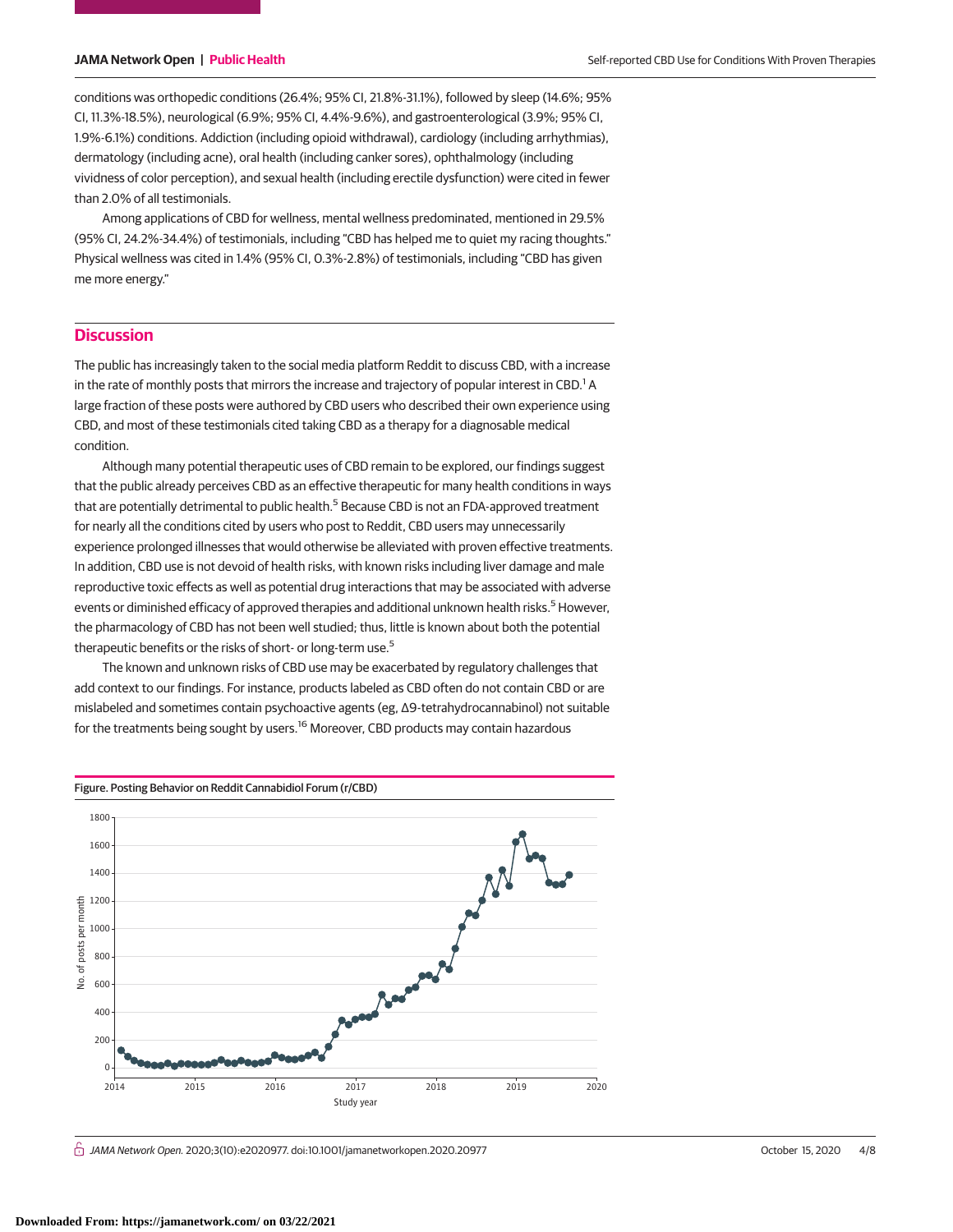conditions was orthopedic conditions (26.4%; 95% CI, 21.8%-31.1%), followed by sleep (14.6%; 95% CI, 11.3%-18.5%), neurological (6.9%; 95% CI, 4.4%-9.6%), and gastroenterological (3.9%; 95% CI, 1.9%-6.1%) conditions. Addiction (including opioid withdrawal), cardiology (including arrhythmias), dermatology (including acne), oral health (including canker sores), ophthalmology (including vividness of color perception), and sexual health (including erectile dysfunction) were cited in fewer than 2.0% of all testimonials.

Among applications of CBD for wellness, mental wellness predominated, mentioned in 29.5% (95% CI, 24.2%-34.4%) of testimonials, including "CBD has helped me to quiet my racing thoughts." Physical wellness was cited in 1.4% (95% CI, 0.3%-2.8%) of testimonials, including "CBD has given me more energy."

# **Discussion**

The public has increasingly taken to the social media platform Reddit to discuss CBD, with a increase in the rate of monthly posts that mirrors the increase and trajectory of popular interest in CBD. $^{\rm 1}$  A large fraction of these posts were authored by CBD users who described their own experience using CBD, and most of these testimonials cited taking CBD as a therapy for a diagnosable medical condition.

Although many potential therapeutic uses of CBD remain to be explored, our findings suggest that the public already perceives CBD as an effective therapeutic for many health conditions in ways that are potentially detrimental to public health.<sup>5</sup> Because CBD is not an FDA-approved treatment for nearly all the conditions cited by users who post to Reddit, CBD users may unnecessarily experience prolonged illnesses that would otherwise be alleviated with proven effective treatments. In addition, CBD use is not devoid of health risks, with known risks including liver damage and male reproductive toxic effects as well as potential drug interactions that may be associated with adverse events or diminished efficacy of approved therapies and additional unknown health risks.<sup>5</sup> However, the pharmacology of CBD has not been well studied; thus, little is known about both the potential therapeutic benefits or the risks of short- or long-term use.<sup>5</sup>

The known and unknown risks of CBD use may be exacerbated by regulatory challenges that add context to our findings. For instance, products labeled as CBD often do not contain CBD or are mislabeled and sometimes contain psychoactive agents (eg, Δ9-tetrahydrocannabinol) not suitable for the treatments being sought by users.<sup>16</sup> Moreover, CBD products may contain hazardous



 $\bigcap$  JAMA Network Open. 2020;3(10):e2020977. doi:10.1001/jamanetworkopen.2020.20977 (Reprinted) October 15, 2020 4/8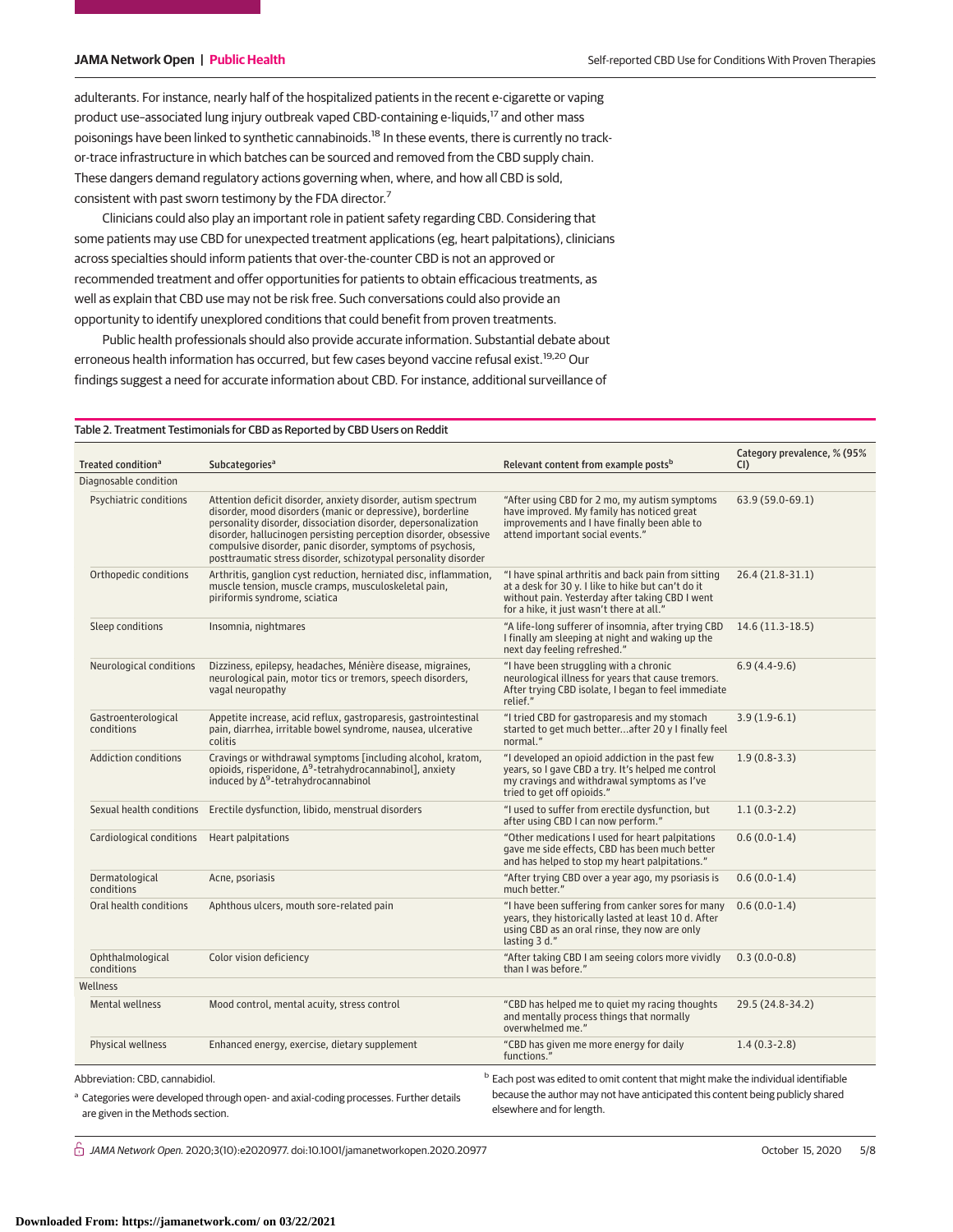adulterants. For instance, nearly half of the hospitalized patients in the recent e-cigarette or vaping product use-associated lung injury outbreak vaped CBD-containing e-liquids,<sup>17</sup> and other mass poisonings have been linked to synthetic cannabinoids.<sup>18</sup> In these events, there is currently no trackor-trace infrastructure in which batches can be sourced and removed from the CBD supply chain. These dangers demand regulatory actions governing when, where, and how all CBD is sold, consistent with past sworn testimony by the FDA director.<sup>7</sup>

Clinicians could also play an important role in patient safety regarding CBD. Considering that some patients may use CBD for unexpected treatment applications (eg, heart palpitations), clinicians across specialties should inform patients that over-the-counter CBD is not an approved or recommended treatment and offer opportunities for patients to obtain efficacious treatments, as well as explain that CBD use may not be risk free. Such conversations could also provide an opportunity to identify unexplored conditions that could benefit from proven treatments.

Public health professionals should also provide accurate information. Substantial debate about erroneous health information has occurred, but few cases beyond vaccine refusal exist.<sup>19,20</sup> Our findings suggest a need for accurate information about CBD. For instance, additional surveillance of

### Table 2. Treatment Testimonials for CBD as Reported by CBD Users on Reddit

| Treated condition <sup>a</sup>    | Subcategories <sup>a</sup>                                                                                                                                                                                                                                                                                                                                                                          | Relevant content from example posts <sup>b</sup>                                                                                                                                                          | Category prevalence, % (95%<br>CI) |  |
|-----------------------------------|-----------------------------------------------------------------------------------------------------------------------------------------------------------------------------------------------------------------------------------------------------------------------------------------------------------------------------------------------------------------------------------------------------|-----------------------------------------------------------------------------------------------------------------------------------------------------------------------------------------------------------|------------------------------------|--|
| Diagnosable condition             |                                                                                                                                                                                                                                                                                                                                                                                                     |                                                                                                                                                                                                           |                                    |  |
| Psychiatric conditions            | Attention deficit disorder, anxiety disorder, autism spectrum<br>disorder, mood disorders (manic or depressive), borderline<br>personality disorder, dissociation disorder, depersonalization<br>disorder, hallucinogen persisting perception disorder, obsessive<br>compulsive disorder, panic disorder, symptoms of psychosis,<br>posttraumatic stress disorder, schizotypal personality disorder | "After using CBD for 2 mo, my autism symptoms<br>have improved. My family has noticed great<br>improvements and I have finally been able to<br>attend important social events."                           | 63.9 (59.0-69.1)                   |  |
| Orthopedic conditions             | Arthritis, ganglion cyst reduction, herniated disc, inflammation,<br>muscle tension, muscle cramps, musculoskeletal pain,<br>piriformis syndrome, sciatica                                                                                                                                                                                                                                          | "I have spinal arthritis and back pain from sitting<br>at a desk for 30 y. I like to hike but can't do it<br>without pain. Yesterday after taking CBD I went<br>for a hike, it just wasn't there at all." | 26.4 (21.8-31.1)                   |  |
| Sleep conditions                  | Insomnia, nightmares                                                                                                                                                                                                                                                                                                                                                                                | "A life-long sufferer of insomnia, after trying CBD<br>I finally am sleeping at night and waking up the<br>next day feeling refreshed."                                                                   | $14.6(11.3-18.5)$                  |  |
| Neurological conditions           | Dizziness, epilepsy, headaches, Ménière disease, migraines,<br>neurological pain, motor tics or tremors, speech disorders,<br>vagal neuropathy                                                                                                                                                                                                                                                      | "I have been struggling with a chronic<br>neurological illness for years that cause tremors.<br>After trying CBD isolate, I began to feel immediate<br>relief."                                           | $6.9(4.4-9.6)$                     |  |
| Gastroenterological<br>conditions | Appetite increase, acid reflux, gastroparesis, gastrointestinal<br>pain, diarrhea, irritable bowel syndrome, nausea, ulcerative<br>colitis                                                                                                                                                                                                                                                          | "I tried CBD for gastroparesis and my stomach<br>started to get much betterafter 20 y I finally feel<br>normal."                                                                                          | $3.9(1.9-6.1)$                     |  |
| <b>Addiction conditions</b>       | Cravings or withdrawal symptoms [including alcohol, kratom,<br>opioids, risperidone, $\Delta^9$ -tetrahydrocannabinol], anxiety<br>induced by $\Delta^9$ -tetrahydrocannabinol                                                                                                                                                                                                                      | "I developed an opioid addiction in the past few<br>years, so I gave CBD a try. It's helped me control<br>my cravings and withdrawal symptoms as I've<br>tried to get off opioids."                       | $1.9(0.8-3.3)$                     |  |
|                                   | Sexual health conditions Erectile dysfunction, libido, menstrual disorders                                                                                                                                                                                                                                                                                                                          | "I used to suffer from erectile dysfunction, but<br>after using CBD I can now perform."                                                                                                                   | $1.1(0.3-2.2)$                     |  |
| Cardiological conditions          | Heart palpitations                                                                                                                                                                                                                                                                                                                                                                                  | "Other medications I used for heart palpitations<br>gave me side effects, CBD has been much better<br>and has helped to stop my heart palpitations."                                                      | $0.6(0.0-1.4)$                     |  |
| Dermatological<br>conditions      | Acne, psoriasis                                                                                                                                                                                                                                                                                                                                                                                     | "After trying CBD over a year ago, my psoriasis is<br>much better."                                                                                                                                       | $0.6(0.0-1.4)$                     |  |
| Oral health conditions            | Aphthous ulcers, mouth sore-related pain                                                                                                                                                                                                                                                                                                                                                            | "I have been suffering from canker sores for many<br>years, they historically lasted at least 10 d. After<br>using CBD as an oral rinse, they now are only<br>lasting 3 d."                               | $0.6(0.0-1.4)$                     |  |
| Ophthalmological<br>conditions    | Color vision deficiency                                                                                                                                                                                                                                                                                                                                                                             | "After taking CBD I am seeing colors more vividly<br>than I was before."                                                                                                                                  | $0.3(0.0-0.8)$                     |  |
| Wellness                          |                                                                                                                                                                                                                                                                                                                                                                                                     |                                                                                                                                                                                                           |                                    |  |
| Mental wellness                   | Mood control, mental acuity, stress control                                                                                                                                                                                                                                                                                                                                                         | "CBD has helped me to quiet my racing thoughts<br>and mentally process things that normally<br>overwhelmed me."                                                                                           | 29.5 (24.8-34.2)                   |  |
| Physical wellness                 | Enhanced energy, exercise, dietary supplement                                                                                                                                                                                                                                                                                                                                                       | "CBD has given me more energy for daily<br>functions."                                                                                                                                                    | $1.4(0.3-2.8)$                     |  |

<sup>a</sup> Categories were developed through open- and axial-coding processes. Further details are given in the Methods section.

because the author may not have anticipated this content being publicly shared elsewhere and for length.

 $\bigcap$  JAMA Network Open. 2020;3(10):e2020977. doi:10.1001/jamanetworkopen.2020.20977 (Reprinted) October 15, 2020 5/8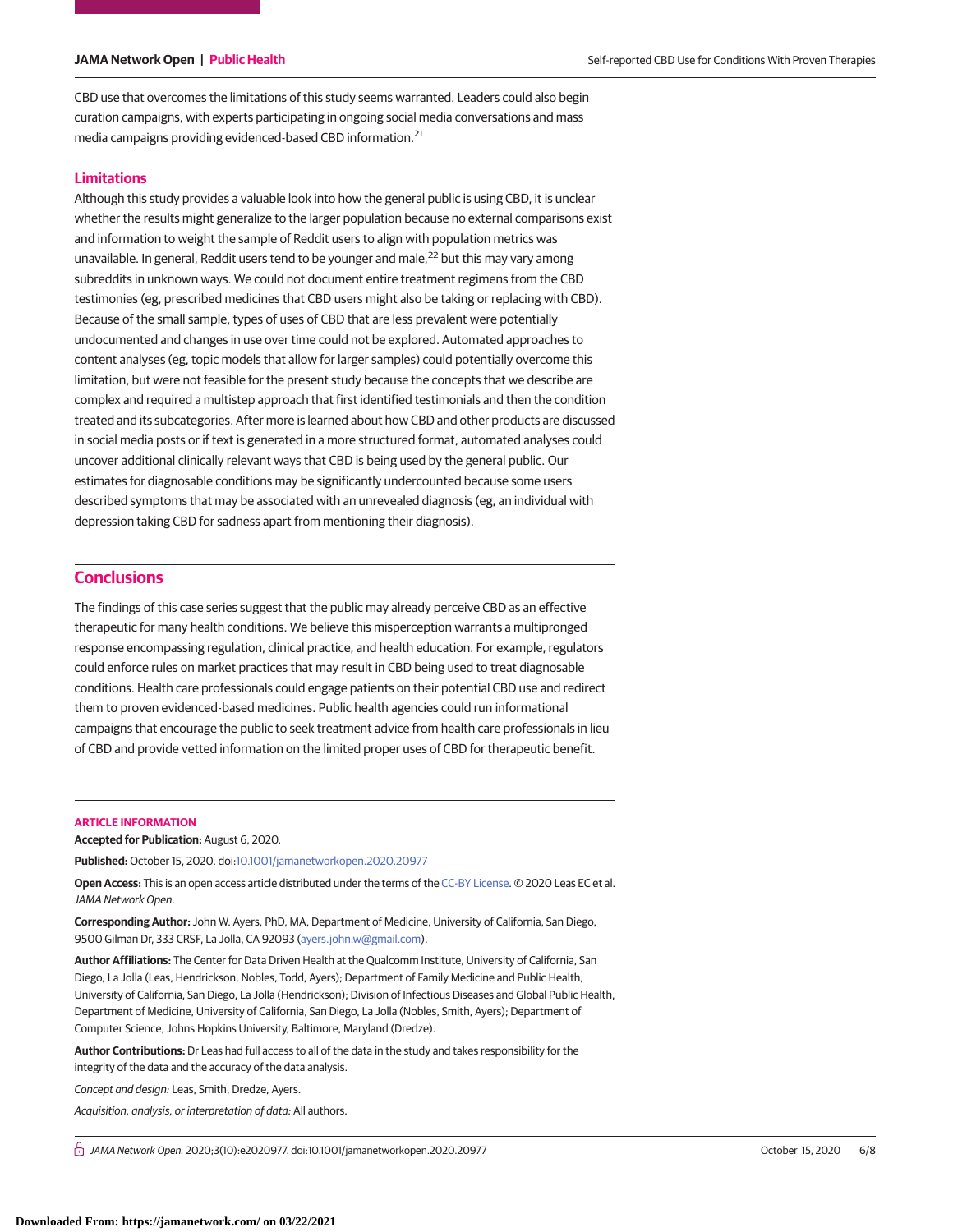CBD use that overcomes the limitations of this study seems warranted. Leaders could also begin curation campaigns, with experts participating in ongoing social media conversations and mass media campaigns providing evidenced-based CBD information.<sup>21</sup>

# **Limitations**

Although this study provides a valuable look into how the general public is using CBD, it is unclear whether the results might generalize to the larger population because no external comparisons exist and information to weight the sample of Reddit users to align with population metrics was unavailable. In general, Reddit users tend to be younger and male, $^{22}$  but this may vary among subreddits in unknown ways. We could not document entire treatment regimens from the CBD testimonies (eg, prescribed medicines that CBD users might also be taking or replacing with CBD). Because of the small sample, types of uses of CBD that are less prevalent were potentially undocumented and changes in use over time could not be explored. Automated approaches to content analyses (eg, topic models that allow for larger samples) could potentially overcome this limitation, but were not feasible for the present study because the concepts that we describe are complex and required a multistep approach that first identified testimonials and then the condition treated and its subcategories. After more is learned about how CBD and other products are discussed in social media posts or if text is generated in a more structured format, automated analyses could uncover additional clinically relevant ways that CBD is being used by the general public. Our estimates for diagnosable conditions may be significantly undercounted because some users described symptoms that may be associated with an unrevealed diagnosis (eg, an individual with depression taking CBD for sadness apart from mentioning their diagnosis).

# **Conclusions**

The findings of this case series suggest that the public may already perceive CBD as an effective therapeutic for many health conditions. We believe this misperception warrants a multipronged response encompassing regulation, clinical practice, and health education. For example, regulators could enforce rules on market practices that may result in CBD being used to treat diagnosable conditions. Health care professionals could engage patients on their potential CBD use and redirect them to proven evidenced-based medicines. Public health agencies could run informational campaigns that encourage the public to seek treatment advice from health care professionals in lieu of CBD and provide vetted information on the limited proper uses of CBD for therapeutic benefit.

### **ARTICLE INFORMATION**

**Accepted for Publication:** August 6, 2020.

**Published:** October 15, 2020. doi[:10.1001/jamanetworkopen.2020.20977](https://jama.jamanetwork.com/article.aspx?doi=10.1001/jamanetworkopen.2020.20977&utm_campaign=articlePDF%26utm_medium=articlePDFlink%26utm_source=articlePDF%26utm_content=jamanetworkopen.2020.20977)

**Open Access:** This is an open access article distributed under the terms of the [CC-BY License.](https://jamanetwork.com/journals/jamanetworkopen/pages/instructions-for-authors#SecOpenAccess/?utm_campaign=articlePDF%26utm_medium=articlePDFlink%26utm_source=articlePDF%26utm_content=jamanetworkopen.2020.20977) © 2020 Leas EC et al. JAMA Network Open.

**Corresponding Author:** John W. Ayers, PhD, MA, Department of Medicine, University of California, San Diego, 9500 Gilman Dr, 333 CRSF, La Jolla, CA 92093 [\(ayers.john.w@gmail.com\)](mailto:ayers.john.w@gmail.com).

**Author Affiliations:** The Center for Data Driven Health at the Qualcomm Institute, University of California, San Diego, La Jolla (Leas, Hendrickson, Nobles, Todd, Ayers); Department of Family Medicine and Public Health, University of California, San Diego, La Jolla (Hendrickson); Division of Infectious Diseases and Global Public Health, Department of Medicine, University of California, San Diego, La Jolla (Nobles, Smith, Ayers); Department of Computer Science, Johns Hopkins University, Baltimore, Maryland (Dredze).

**Author Contributions:** Dr Leas had full access to all of the data in the study and takes responsibility for the integrity of the data and the accuracy of the data analysis.

Concept and design: Leas, Smith, Dredze, Ayers.

Acquisition, analysis, or interpretation of data: All authors.

 $\bigcap$  JAMA Network Open. 2020;3(10):e2020977. doi:10.1001/jamanetworkopen.2020.20977 (Reprinted) October 15, 2020 6/8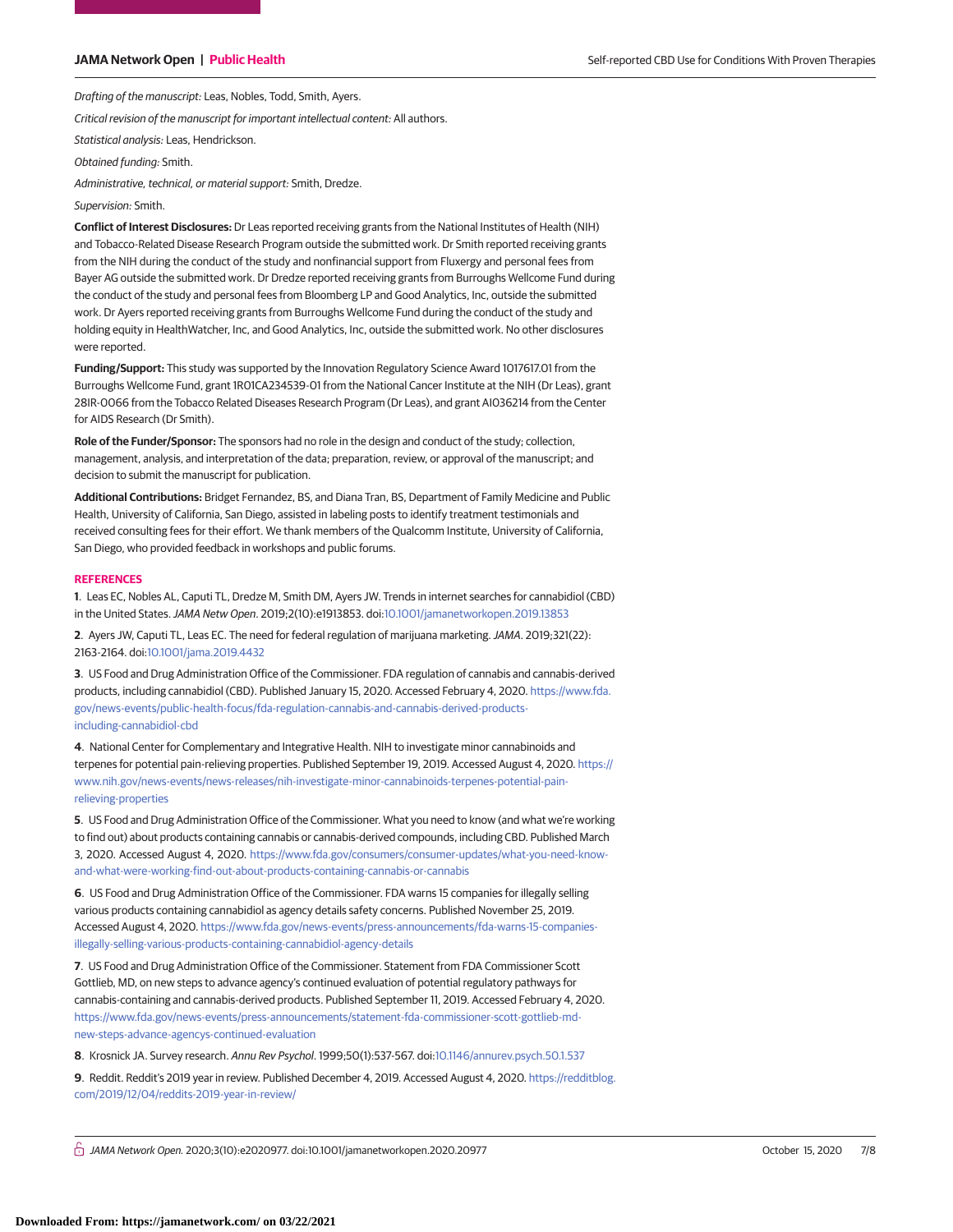Drafting of the manuscript: Leas, Nobles, Todd, Smith, Ayers.

Critical revision of the manuscript for important intellectual content: All authors.

Statistical analysis: Leas, Hendrickson.

Obtained funding: Smith.

Administrative, technical, or material support: Smith, Dredze.

### Supervision: Smith.

**Conflict of Interest Disclosures:** Dr Leas reported receiving grants from the National Institutes of Health (NIH) and Tobacco-Related Disease Research Program outside the submitted work. Dr Smith reported receiving grants from the NIH during the conduct of the study and nonfinancial support from Fluxergy and personal fees from Bayer AG outside the submitted work. Dr Dredze reported receiving grants from Burroughs Wellcome Fund during the conduct of the study and personal fees from Bloomberg LP and Good Analytics, Inc, outside the submitted work. Dr Ayers reported receiving grants from Burroughs Wellcome Fund during the conduct of the study and holding equity in HealthWatcher, Inc, and Good Analytics, Inc, outside the submitted work. No other disclosures were reported.

**Funding/Support:** This study was supported by the Innovation Regulatory Science Award 1017617.01 from the Burroughs Wellcome Fund, grant 1R01CA234539-01 from the National Cancer Institute at the NIH (Dr Leas), grant 28IR-0066 from the Tobacco Related Diseases Research Program (Dr Leas), and grant AI036214 from the Center for AIDS Research (Dr Smith).

**Role of the Funder/Sponsor:** The sponsors had no role in the design and conduct of the study; collection, management, analysis, and interpretation of the data; preparation, review, or approval of the manuscript; and decision to submit the manuscript for publication.

**Additional Contributions:** Bridget Fernandez, BS, and Diana Tran, BS, Department of Family Medicine and Public Health, University of California, San Diego, assisted in labeling posts to identify treatment testimonials and received consulting fees for their effort. We thank members of the Qualcomm Institute, University of California, San Diego, who provided feedback in workshops and public forums.

### **REFERENCES**

**1**. Leas EC, Nobles AL, Caputi TL, Dredze M, Smith DM, Ayers JW. Trends in internet searches for cannabidiol (CBD) in the United States.JAMA Netw Open. 2019;2(10):e1913853. doi[:10.1001/jamanetworkopen.2019.13853](https://jama.jamanetwork.com/article.aspx?doi=10.1001/jamanetworkopen.2019.13853&utm_campaign=articlePDF%26utm_medium=articlePDFlink%26utm_source=articlePDF%26utm_content=jamanetworkopen.2020.20977)

**2**. Ayers JW, Caputi TL, Leas EC. The need for federal regulation of marijuana marketing.JAMA. 2019;321(22): 2163-2164. doi[:10.1001/jama.2019.4432](https://jama.jamanetwork.com/article.aspx?doi=10.1001/jama.2019.4432&utm_campaign=articlePDF%26utm_medium=articlePDFlink%26utm_source=articlePDF%26utm_content=jamanetworkopen.2020.20977)

**3**. US Food and Drug Administration Office of the Commissioner. FDA regulation of cannabis and cannabis-derived products, including cannabidiol (CBD). Published January 15, 2020. Accessed February 4, 2020. [https://www.fda.](https://www.fda.gov/news-events/public-health-focus/fda-regulation-cannabis-and-cannabis-derived-products-including-cannabidiol-cbd) [gov/news-events/public-health-focus/fda-regulation-cannabis-and-cannabis-derived-products](https://www.fda.gov/news-events/public-health-focus/fda-regulation-cannabis-and-cannabis-derived-products-including-cannabidiol-cbd)[including-cannabidiol-cbd](https://www.fda.gov/news-events/public-health-focus/fda-regulation-cannabis-and-cannabis-derived-products-including-cannabidiol-cbd)

**4**. National Center for Complementary and Integrative Health. NIH to investigate minor cannabinoids and terpenes for potential pain-relieving properties. Published September 19, 2019. Accessed August 4, 2020. [https://](https://www.nih.gov/news-events/news-releases/nih-investigate-minor-cannabinoids-terpenes-potential-pain-relieving-properties) [www.nih.gov/news-events/news-releases/nih-investigate-minor-cannabinoids-terpenes-potential-pain](https://www.nih.gov/news-events/news-releases/nih-investigate-minor-cannabinoids-terpenes-potential-pain-relieving-properties)[relieving-properties](https://www.nih.gov/news-events/news-releases/nih-investigate-minor-cannabinoids-terpenes-potential-pain-relieving-properties)

**5**. US Food and Drug Administration Office of the Commissioner. What you need to know (and what we're working to find out) about products containing cannabis or cannabis-derived compounds, including CBD. Published March 3, 2020. Accessed August 4, 2020. [https://www.fda.gov/consumers/consumer-updates/what-you-need-know](https://www.fda.gov/consumers/consumer-updates/what-you-need-know-and-what-were-working-find-out-about-products-containing-cannabis-or-cannabis)[and-what-were-working-find-out-about-products-containing-cannabis-or-cannabis](https://www.fda.gov/consumers/consumer-updates/what-you-need-know-and-what-were-working-find-out-about-products-containing-cannabis-or-cannabis)

**6**. US Food and Drug Administration Office of the Commissioner. FDA warns 15 companies for illegally selling various products containing cannabidiol as agency details safety concerns. Published November 25, 2019. Accessed August 4, 2020. [https://www.fda.gov/news-events/press-announcements/fda-warns-15-companies](https://www.fda.gov/news-events/press-announcements/fda-warns-15-companies-illegally-selling-various-products-containing-cannabidiol-agency-details)[illegally-selling-various-products-containing-cannabidiol-agency-details](https://www.fda.gov/news-events/press-announcements/fda-warns-15-companies-illegally-selling-various-products-containing-cannabidiol-agency-details)

**7**. US Food and Drug Administration Office of the Commissioner. Statement from FDA Commissioner Scott Gottlieb, MD, on new steps to advance agency's continued evaluation of potential regulatory pathways for cannabis-containing and cannabis-derived products. Published September 11, 2019. Accessed February 4, 2020. [https://www.fda.gov/news-events/press-announcements/statement-fda-commissioner-scott-gottlieb-md](https://www.fda.gov/news-events/press-announcements/statement-fda-commissioner-scott-gottlieb-md-new-steps-advance-agencys-continued-evaluation)[new-steps-advance-agencys-continued-evaluation](https://www.fda.gov/news-events/press-announcements/statement-fda-commissioner-scott-gottlieb-md-new-steps-advance-agencys-continued-evaluation)

**8**. Krosnick JA. Survey research. Annu Rev Psychol. 1999;50(1):537-567. doi[:10.1146/annurev.psych.50.1.537](https://dx.doi.org/10.1146/annurev.psych.50.1.537)

**9**. Reddit. Reddit's 2019 year in review. Published December 4, 2019. Accessed August 4, 2020. [https://redditblog.](https://redditblog.com/2019/12/04/reddits-2019-year-in-review/) [com/2019/12/04/reddits-2019-year-in-review/](https://redditblog.com/2019/12/04/reddits-2019-year-in-review/)

 $\bigcap$  JAMA Network Open. 2020;3(10):e2020977. doi:10.1001/jamanetworkopen.2020.20977 (Reprinted) October 15, 2020 7/8